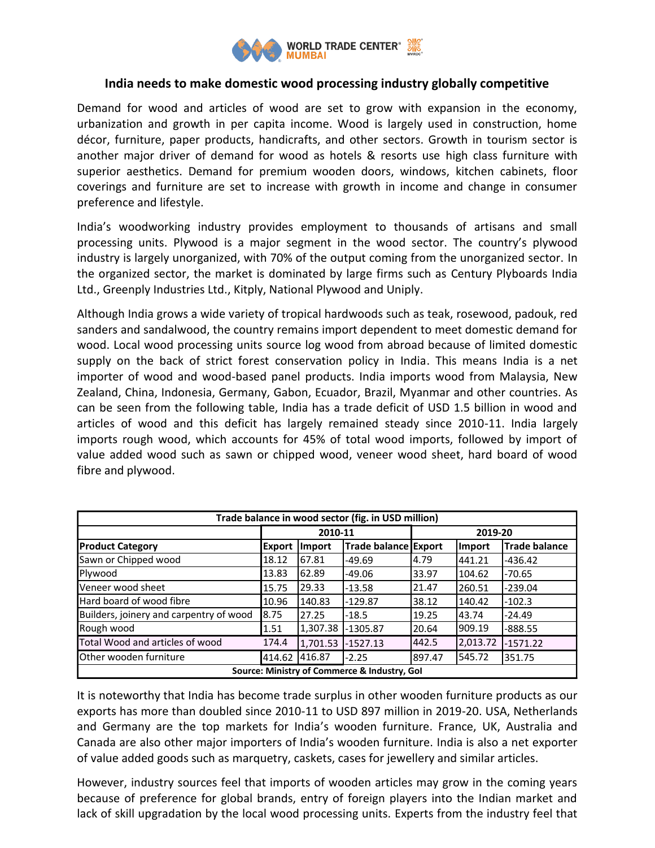

# **India needs to make domestic wood processing industry globally competitive**

Demand for wood and articles of wood are set to grow with expansion in the economy, urbanization and growth in per capita income. Wood is largely used in construction, home décor, furniture, paper products, handicrafts, and other sectors. Growth in tourism sector is another major driver of demand for wood as hotels & resorts use high class furniture with superior aesthetics. Demand for premium wooden doors, windows, kitchen cabinets, floor coverings and furniture are set to increase with growth in income and change in consumer preference and lifestyle.

India's woodworking industry provides employment to thousands of artisans and small processing units. Plywood is a major segment in the wood sector. The country's plywood industry is largely unorganized, with 70% of the output coming from the unorganized sector. In the organized sector, the market is dominated by large firms such as Century Plyboards India Ltd., Greenply Industries Ltd., Kitply, National Plywood and Uniply.

Although India grows a wide variety of tropical hardwoods such as teak, rosewood, padouk, red sanders and sandalwood, the country remains import dependent to meet domestic demand for wood. Local wood processing units source log wood from abroad because of limited domestic supply on the back of strict forest conservation policy in India. This means India is a net importer of wood and wood-based panel products. India imports wood from Malaysia, New Zealand, China, Indonesia, Germany, Gabon, Ecuador, Brazil, Myanmar and other countries. As can be seen from the following table, India has a trade deficit of USD 1.5 billion in wood and articles of wood and this deficit has largely remained steady since 2010-11. India largely imports rough wood, which accounts for 45% of total wood imports, followed by import of value added wood such as sawn or chipped wood, veneer wood sheet, hard board of wood fibre and plywood.

| Trade balance in wood sector (fig. in USD million) |               |          |                             |         |          |                      |
|----------------------------------------------------|---------------|----------|-----------------------------|---------|----------|----------------------|
|                                                    | 2010-11       |          |                             | 2019-20 |          |                      |
| <b>Product Category</b>                            | <b>Export</b> | Import   | <b>Trade balance Export</b> |         | Import   | <b>Trade balance</b> |
| Sawn or Chipped wood                               | 18.12         | 67.81    | $-49.69$                    | 4.79    | 441.21   | $-436.42$            |
| Plywood                                            | 13.83         | 62.89    | $-49.06$                    | 33.97   | 104.62   | $-70.65$             |
| Veneer wood sheet                                  | 15.75         | 29.33    | $-13.58$                    | 21.47   | 260.51   | $-239.04$            |
| Hard board of wood fibre                           | 10.96         | 140.83   | $-129.87$                   | 38.12   | 140.42   | $-102.3$             |
| Builders, joinery and carpentry of wood            | 8.75          | 27.25    | $-18.5$                     | 19.25   | 43.74    | $-24.49$             |
| Rough wood                                         | 1.51          | 1,307.38 | $-1305.87$                  | 20.64   | 909.19   | $-888.55$            |
| Total Wood and articles of wood                    | 174.4         | 1,701.53 | $-1527.13$                  | 442.5   | 2,013.72 | $-1571.22$           |
| Other wooden furniture                             | 414.62        | 416.87   | $-2.25$                     | 897.47  | 545.72   | 351.75               |
| Source: Ministry of Commerce & Industry, Gol       |               |          |                             |         |          |                      |

It is noteworthy that India has become trade surplus in other wooden furniture products as our exports has more than doubled since 2010-11 to USD 897 million in 2019-20. USA, Netherlands and Germany are the top markets for India's wooden furniture. France, UK, Australia and Canada are also other major importers of India's wooden furniture. India is also a net exporter of value added goods such as marquetry, caskets, cases for jewellery and similar articles.

However, industry sources feel that imports of wooden articles may grow in the coming years because of preference for global brands, entry of foreign players into the Indian market and lack of skill upgradation by the local wood processing units. Experts from the industry feel that